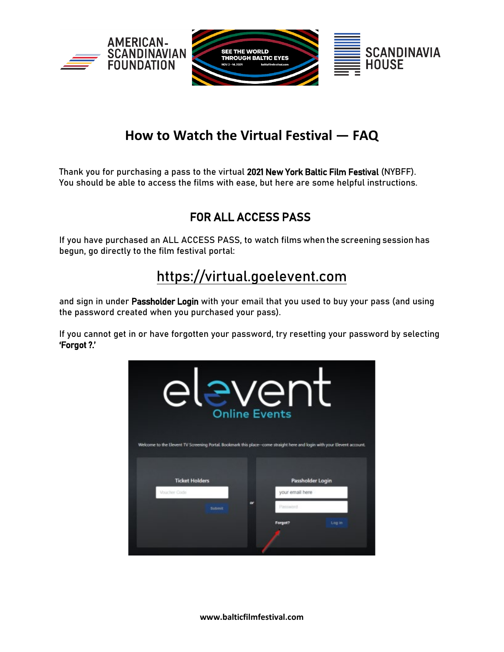

# **How to Watch the Virtual Festival — FAQ**

Thank you for purchasing a pass to the virtual 2021 New York Baltic Film Festival (NYBFF). You should be able to access the films with ease, but here are some helpful instructions.

# FOR ALL ACCESS PASS

If you have purchased an ALL ACCESS PASS, to watch films when the screening session has begun, go directly to the film festival portal:

# [https://virtual.goelevent.com](https://virtual.goelevent.com/)

and sign in under Passholder Login with your email that you used to buy your pass (and using the password created when you purchased your pass).

If you cannot get in or have forgotten your password, try resetting your password by selecting 'Forgot ?.'



**www.balticfilmfestival.com**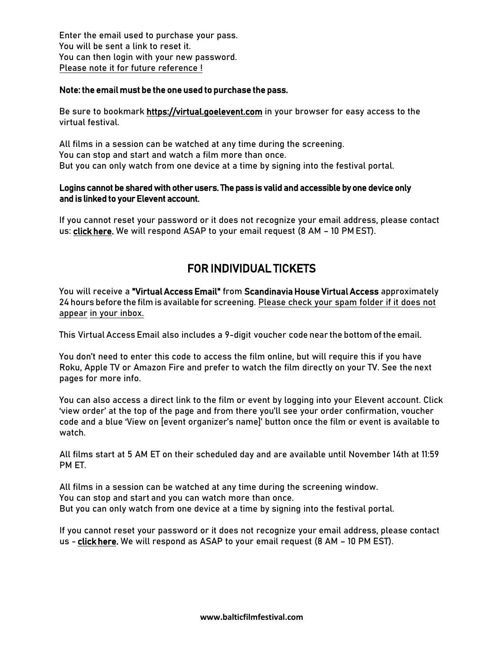Enter the email used to purchase your pass. You will be sent a link to reset it. You can then login with your new password. Please note it for future reference !

### Note: the email must be the one used to purchase the pass.

Be sure to bookmark [https://virtual.goelevent.com](https://virtual.goelevent.com i) in your browser for easy access to the virtual festival.

All films in a session can be watched at any time during the screening. You can stop and start and watch a film more than once. But you can only watch from one device at a time by signing into the festival portal.

## Logins cannot be shared with other users. The pass is valid and accessible by one device only and is linked to your Elevent account.

If you cannot reset your password or it does not recognize your email address, please contact us: [click here.](https://www.goelevent.com/support) We will respond ASAP to your email request (8 AM – 10 PM EST).

# FOR INDIVIDUAL TICKETS

You will receive a "Virtual Access Email" from Scandinavia House Virtual Access approximately 24 hours before the film is available for screening. Please check your spam folder if it does not appear in your inbox.

This Virtual Access Email also includes a 9-digit voucher code near the bottom of the email.

You don't need to enter this code to access the film online, but will require this if you have Roku, Apple TV or Amazon Fire and prefer to watch the film directly on your TV. See the next pages for more info.

You can also access a direct link to the film or event by logging into your Elevent account. Click 'view order' at the top of the page and from there you'll see your order confirmation, voucher code and a blue 'View on [event organizer's name]' button once the film or event is available to watch.

All films start at 5 AM ET on their scheduled day and are available until November 14th at 11:59 PM ET.

All films in a session can be watched at any time during the screening window. You can stop and start and you can watch more than once. But you can only watch from one device at a time by signing into the festival portal.

If you cannot reset your password or it does not recognize your email address, please contact us - [click here.](https://www.goelevent.com/support) We will respond as ASAP to your email request (8 AM – 10 PM EST).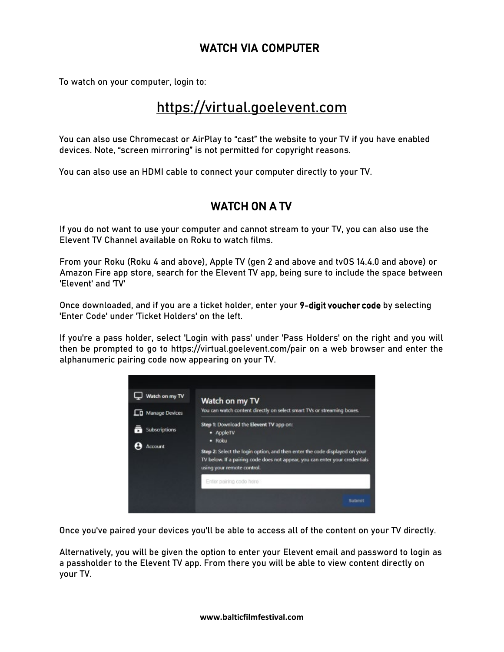# WATCH VIA COMPUTER

To watch on your computer, login to:

# [https://virtual.goelevent.com](https://virtual.goelevent.com/)

You can also use Chromecast or AirPlay to "cast" the website to your TV if you have enabled devices. Note, "screen mirroring" is not permitted for copyright reasons.

You can also use an HDMI cable to connect your computer directly to your TV.

# WATCH ON A TV

If you do not want to use your computer and cannot stream to your TV, you can also use the Elevent TV Channel available on Roku to watch films.

From your Roku (Roku 4 and above), Apple TV (gen 2 and above and tvOS 14.4.0 and above) or Amazon Fire app store, search for the Elevent TV app, being sure to include the space between 'Elevent' and 'TV'

Once downloaded, and if you are a ticket holder, enter your 9-digit voucher code by selecting 'Enter Code' under 'Ticket Holders' on the left.

If you're a pass holder, select 'Login with pass' under 'Pass Holders' on the right and you will then be prompted to go to https://virtual.goelevent.com/pair on a web browser and enter the alphanumeric pairing code now appearing on your TV.



Once you've paired your devices you'll be able to access all of the content on your TV directly.

Alternatively, you will be given the option to enter your Elevent email and password to login as a passholder to the Elevent TV app. From there you will be able to view content directly on your TV.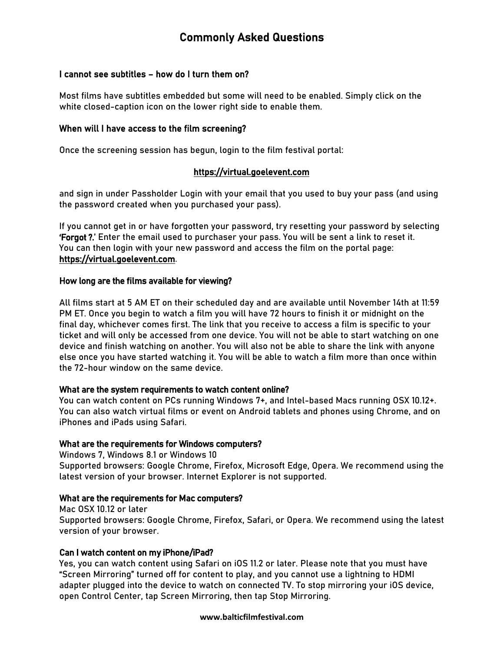# Commonly Asked Questions

## I cannot see subtitles – how do I turn them on?

Most films have subtitles embedded but some will need to be enabled. Simply click on the white closed-caption icon on the lower right side to enable them.

#### When will I have access to the film screening?

Once the screening session has begun, login to the film festival portal:

# [https://virtual.goelevent.com](https://virtual.goelevent.com/)

and sign in under Passholder Login with your email that you used to buy your pass (and using the password created when you purchased your pass).

If you cannot get in or have forgotten your password, try resetting your password by selecting 'Forgot ?.' Enter the email used to purchaser your pass. You will be sent a link to reset it. You can then login with your new password and access the film on the portal page: https://virtual.goelevent.com.

### How long are the films available for viewing?

All films start at 5 AM ET on their scheduled day and are available until November 14th at 11:59 PM ET. Once you begin to watch a film you will have 72 hours to finish it or midnight on the final day, whichever comes first. The link that you receive to access a film is specific to your ticket and will only be accessed from one device. You will not be able to start watching on one device and finish watching on another. You will also not be able to share the link with anyone else once you have started watching it. You will be able to watch a film more than once within the 72-hour window on the same device.

#### What are the system requirements to watch content online?

You can watch content on PCs running Windows 7+, and Intel-based Macs running OSX 10.12+. You can also watch virtual films or event on Android tablets and phones using Chrome, and on iPhones and iPads using Safari.

#### What are the requirements for Windows computers?

Windows 7, Windows 8.1 or Windows 10

Supported browsers: Google Chrome, Firefox, Microsoft Edge, Opera. We recommend using the latest version of your browser. Internet Explorer is not supported.

#### What are the requirements for Mac computers?

Mac OSX 10.12 or later Supported browsers: Google Chrome, Firefox, Safari, or Opera. We recommend using the latest version of your browser.

# Can I watch content on my iPhone/iPad?

Yes, you can watch content using Safari on iOS 11.2 or later. Please note that you must have "Screen Mirroring" turned off for content to play, and you cannot use a lightning to HDMI adapter plugged into the device to watch on connected TV. To stop mirroring your iOS device, open Control Center, tap Screen Mirroring, then tap Stop Mirroring.

#### **www.balticfilmfestival.com**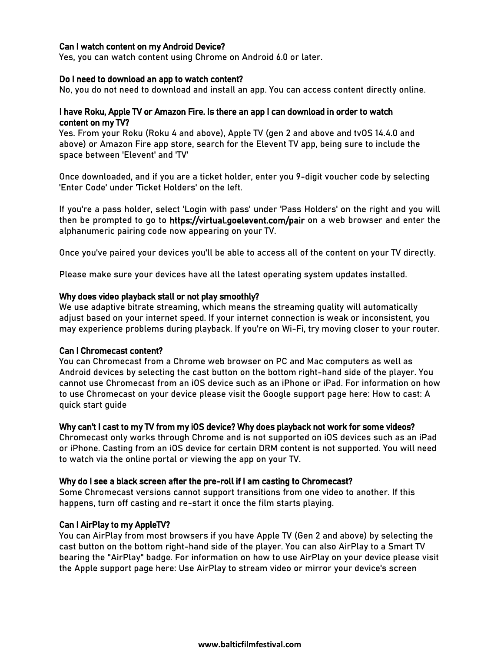# Can I watch content on my Android Device?

Yes, you can watch content using Chrome on Android 6.0 or later.

#### Do I need to download an app to watch content?

No, you do not need to download and install an app. You can access content directly online.

### I have Roku, Apple TV or Amazon Fire. Is there an app I can download in order to watch content on my TV?

Yes. From your Roku (Roku 4 and above), Apple TV (gen 2 and above and tvOS 14.4.0 and above) or Amazon Fire app store, search for the Elevent TV app, being sure to include the space between 'Elevent' and 'TV'

Once downloaded, and if you are a ticket holder, enter you 9-digit voucher code by selecting 'Enter Code' under 'Ticket Holders' on the left.

If you're a pass holder, select 'Login with pass' under 'Pass Holders' on the right and you will then be prompted to go to https://virtual.goelevent.com/pair on a web browser and enter the alphanumeric pairing code now appearing on your TV.

Once you've paired your devices you'll be able to access all of the content on your TV directly.

Please make sure your devices have all the latest operating system updates installed.

#### Why does video playback stall or not play smoothly?

We use adaptive bitrate streaming, which means the streaming quality will automatically adjust based on your internet speed. If your internet connection is weak or inconsistent, you may experience problems during playback. If you're on Wi-Fi, try moving closer to your router.

#### Can I Chromecast content?

You can Chromecast from a Chrome web browser on PC and Mac computers as well as Android devices by selecting the cast button on the bottom right-hand side of the player. You cannot use Chromecast from an iOS device such as an iPhone or iPad. For information on how to use Chromecast on your device please visit the Google support page here: How to cast: A quick start guide

#### Why can't I cast to my TV from my iOS device? Why does playback not work for some videos?

Chromecast only works through Chrome and is not supported on iOS devices such as an iPad or iPhone. Casting from an iOS device for certain DRM content is not supported. You will need to watch via the online portal or viewing the app on your TV.

#### Why do I see a black screen after the pre-roll if I am casting to Chromecast?

Some Chromecast versions cannot support transitions from one video to another. If this happens, turn off casting and re-start it once the film starts playing.

#### Can I AirPlay to my AppleTV?

You can AirPlay from most browsers if you have Apple TV (Gen 2 and above) by selecting the cast button on the bottom right-hand side of the player. You can also AirPlay to a Smart TV bearing the "AirPlay" badge. For information on how to use AirPlay on your device please visit the Apple support page here: Use AirPlay to stream video or mirror your device's screen